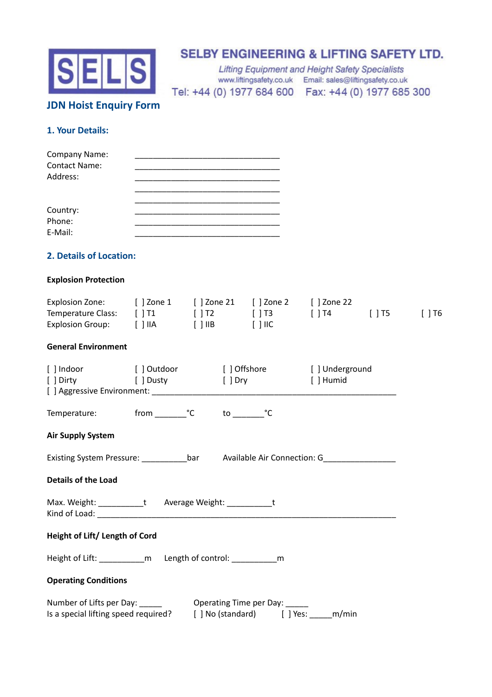

# **SELBY ENGINEERING & LIFTING SAFETY LTD.**

**Lifting Equipment and Height Safety Specialists** www.liftingsafety.co.uk Email: sales@liftingsafety.co.uk Tel: +44 (0) 1977 684 600 Fax: +44 (0) 1977 685 300

# **JDN Hoist Enquiry Form**

### **1. Your Details:**

| <b>Company Name:</b> |  |
|----------------------|--|
| <b>Contact Name:</b> |  |
| Address:             |  |
|                      |  |
|                      |  |
| Country:             |  |
| Phone:               |  |
| E-Mail:              |  |

### **2. Details of Location:**

#### **Explosion Protection**

| Explosion Zone:          | [ ] Zone 1 | [   Zone 21       Zone 2 |                      | $\lceil$ 1 Zone 22 |              |      |
|--------------------------|------------|--------------------------|----------------------|--------------------|--------------|------|
| Temperature Class: [] T1 |            | $\lceil$ 1 T2            | $\Box$ $\Box$ $\Box$ | $\vert$ 1 T4       | $\sqrt{115}$ | 1176 |
| Explosion Group:         | I THA      | I TIIB                   | T THC                |                    |              |      |

#### **General Environment**

|                                                                    |  | [] Indoor [] Outdoor [] Offshore [] Underground                                                                                               |                                                                                                     |  |  |
|--------------------------------------------------------------------|--|-----------------------------------------------------------------------------------------------------------------------------------------------|-----------------------------------------------------------------------------------------------------|--|--|
|                                                                    |  | [] Dirty [] Dusty [] Dry [] Humid                                                                                                             |                                                                                                     |  |  |
|                                                                    |  |                                                                                                                                               |                                                                                                     |  |  |
| Temperature: from __________ <sup>°</sup> C                        |  | $\mathsf{to} \_\_\_\circ\mathsf{C}$                                                                                                           |                                                                                                     |  |  |
| <b>Air Supply System</b>                                           |  |                                                                                                                                               |                                                                                                     |  |  |
|                                                                    |  |                                                                                                                                               | Existing System Pressure: _____________________bar Available Air Connection: G_____________________ |  |  |
| <b>Details of the Load</b>                                         |  |                                                                                                                                               |                                                                                                     |  |  |
| Max. Weight: ____________t Average Weight: ____________t           |  |                                                                                                                                               |                                                                                                     |  |  |
| Height of Lift/ Length of Cord                                     |  |                                                                                                                                               |                                                                                                     |  |  |
| Height of Lift: _____________m Length of control: _______________m |  |                                                                                                                                               |                                                                                                     |  |  |
| <b>Operating Conditions</b>                                        |  |                                                                                                                                               |                                                                                                     |  |  |
|                                                                    |  | Number of Lifts per Day: _______ Operating Time per Day: _____<br>Is a special lifting speed required? [ ] No (standard) [ ] Yes: _____ m/min |                                                                                                     |  |  |